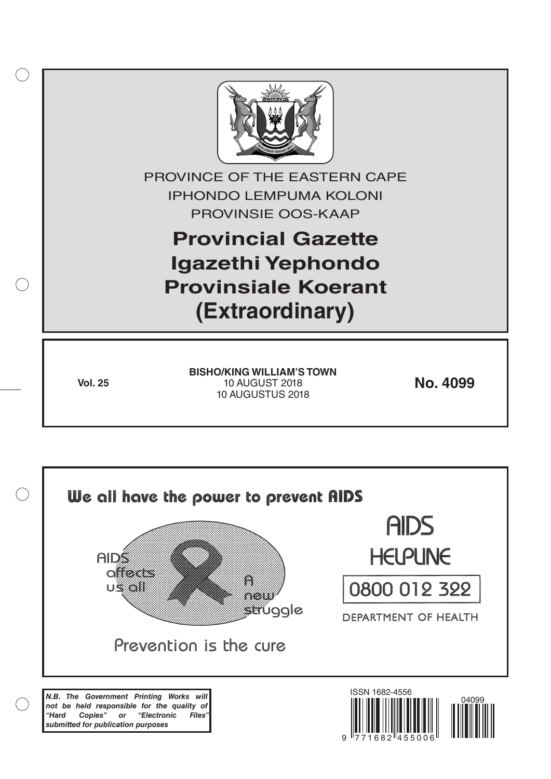

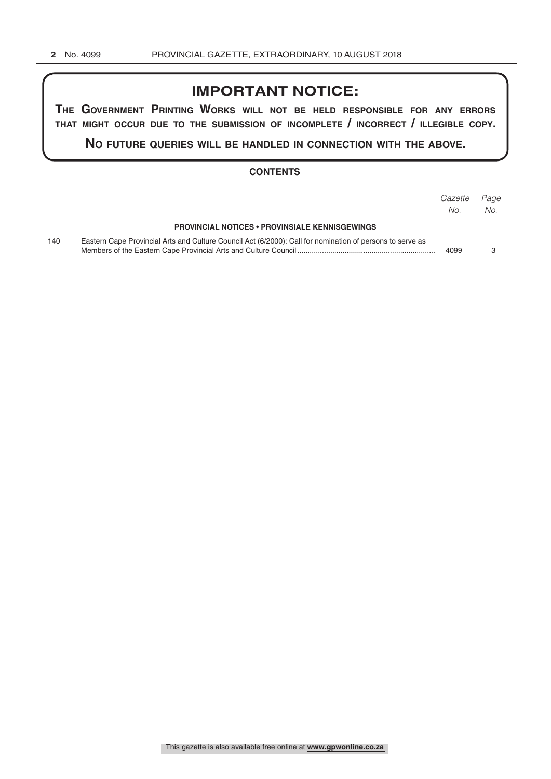# **IMPORTANT NOTICE:**

**The GovernmenT PrinTinG Works Will noT be held resPonsible for any errors ThaT miGhT occur due To The submission of incomPleTe / incorrecT / illeGible coPy.**

**no fuTure queries Will be handled in connecTion WiTh The above.**

#### **CONTENTS**

|     |                                                                                                           | Gazette<br>No. | Page<br>No. |
|-----|-----------------------------------------------------------------------------------------------------------|----------------|-------------|
|     | <b>PROVINCIAL NOTICES • PROVINSIALE KENNISGEWINGS</b>                                                     |                |             |
| 140 | Eastern Cape Provincial Arts and Culture Council Act (6/2000): Call for nomination of persons to serve as | 4099           |             |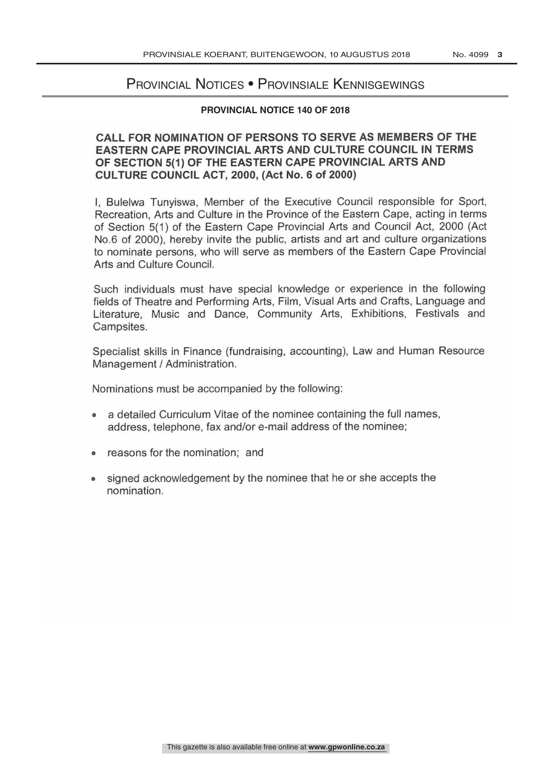## <u>No. 1989 - Angel Barangara</u> Provincial Notices • Provinsiale Kennisgewings

#### **PROVINCIAL NOTICE 140 OF 2018**

### CALL FOR NOMINATION OF PERSONS TO SERVE AS MEMBERS OF THE EASTERN CAPE PROVINCIAL ARTS AND CULTURE COUNCIL IN TERMS OF SECTION 5(1) OF THE EASTERN CAPE PROVINCIAL ARTS AND CULTURE COUNCIL ACT, 2000, (Act No. 6 of 2000)

I, Bulelwa Tunyiswa, Member of the Executive Council responsible for Sport, Recreation, Arts and Culture in the Province of the Eastern Cape, acting in terms of Section 5(1) of the Eastern Cape Provincial Arts and Council Act, 2000 (Act No.6 of 2000), hereby invite the public, artists and art and culture organizations to nominate persons, who will serve as members of the Eastern Cape Provincial Arts and Culture Council.

Such individuals must have special knowledge or experience in the following fields of Theatre and Performing Arts, Film, Visual Arts and Crafts, Language and Literature, Music and Dance, Community Arts, Exhibitions, Festivals and Campsites.

Specialist skills in Finance (fundraising, accounting), Law and Human Resource Management / Administration.

Nominations must be accompanied by the following:

- a detailed Curriculum Vitae of the nominee containing the full names,  $\bullet$ address, telephone, fax and/or e-mail address of the nominee;
- reasons for the nomination; and  $\bullet$
- signed acknowledgement by the nominee that he or she accepts the nomination.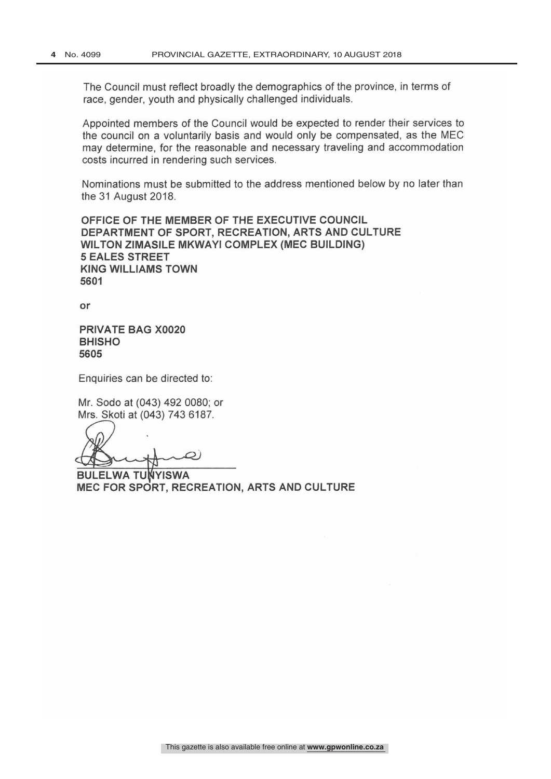The Council must reflect broadly the demographics of the province, in terms of race, gender, youth and physically challenged individuals.

Appointed members of the Council would be expected to render their services to the council on a voluntarily basis and would only be compensated, as the MEC may determine, for the reasonable and necessary traveling and accommodation costs incurred in rendering such services.

Nominations must be submitted to the address mentioned below by no later than the 31 August 2018.

OFFICE OF THE MEMBER OF THE EXECUTIVE COUNCIL DEPARTMENT OF SPORT, RECREATION, ARTS AND CULTURE WILTON ZIMASILE MKWAYI COMPLEX (MEC BUILDING) 5 EALES STREET KING WILLIAMS TOWN 5601

or

PRIVATE BAG X0020 **BHISHO** 5605

Enquiries can be directed to:

Mr. Sodo at (043) 492 0080; or Mrs. Skoti at (043) 743 6187.

BULELWA TUNYISWA MEC FOR SPORT, RECREATION, ARTS AND CULTURE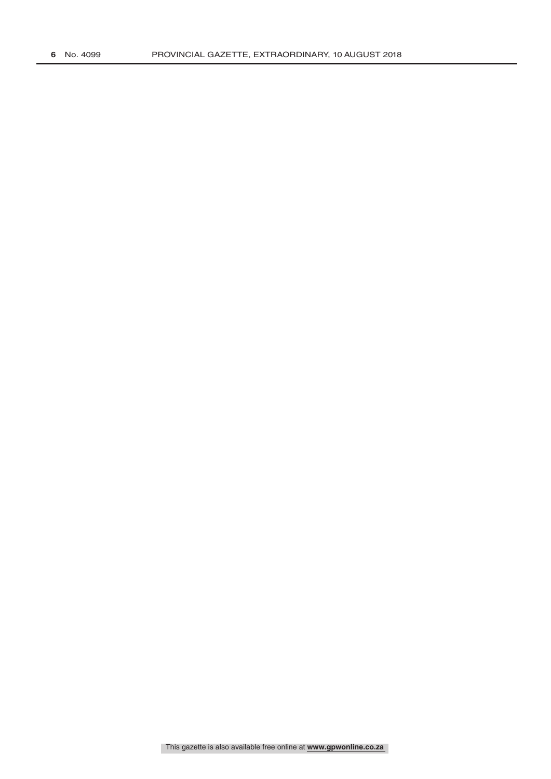This gazette is also available free online at **www.gpwonline.co.za**